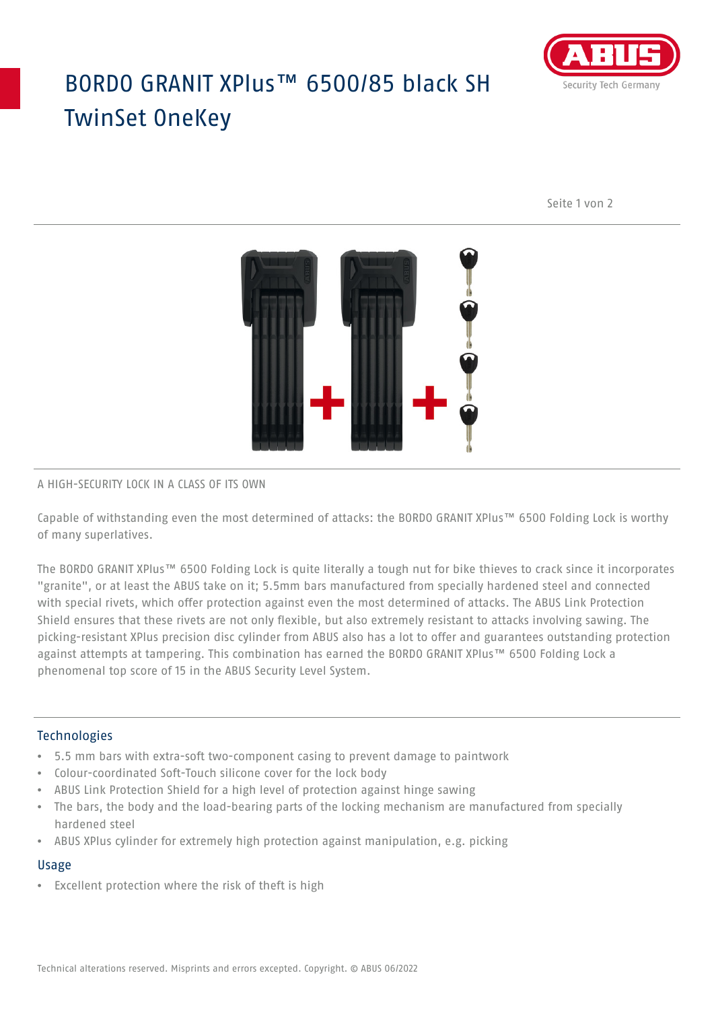# BORDO GRANIT XPlus™ 6500/85 black SH TwinSet OneKey



Seite 1 von 2



#### A HIGH-SECURITY LOCK IN A CLASS OF ITS OWN

Capable of withstanding even the most determined of attacks: the BORDO GRANIT XPlus™ 6500 Folding Lock is worthy of many superlatives.

The BORDO GRANIT XPlus™ 6500 Folding Lock is quite literally a tough nut for bike thieves to crack since it incorporates "granite", or at least the ABUS take on it; 5.5mm bars manufactured from specially hardened steel and connected with special rivets, which offer protection against even the most determined of attacks. The ABUS Link Protection Shield ensures that these rivets are not only flexible, but also extremely resistant to attacks involving sawing. The picking-resistant XPlus precision disc cylinder from ABUS also has a lot to offer and guarantees outstanding protection against attempts at tampering. This combination has earned the BORDO GRANIT XPlus™ 6500 Folding Lock a phenomenal top score of 15 in the ABUS Security Level System.

### Technologies

- 5.5 mm bars with extra-soft two-component casing to prevent damage to paintwork
- Colour-coordinated Soft-Touch silicone cover for the lock body
- ABUS Link Protection Shield for a high level of protection against hinge sawing
- The bars, the body and the load-bearing parts of the locking mechanism are manufactured from specially hardened steel
- ABUS XPlus cylinder for extremely high protection against manipulation, e.g. picking

#### Usage

• Excellent protection where the risk of theft is high